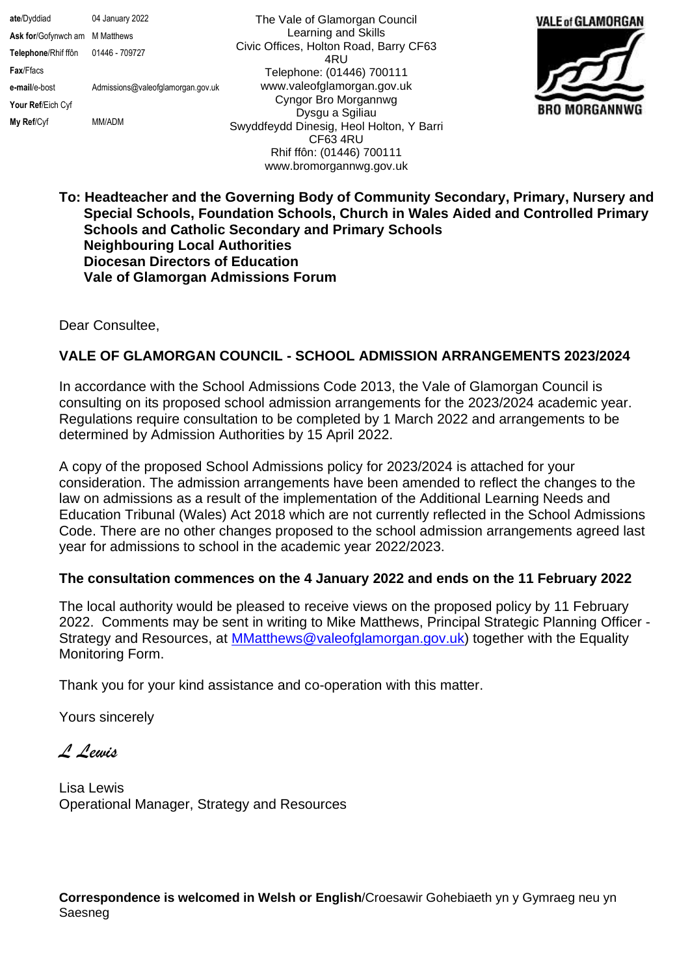**ate**/Dyddiad 04 January 2022 **Ask for**/Gofynwch am M Matthews **Telephone**/Rhif ffôn 01446 - 709727 **Fax**/Ffacs **e-mail**/e-bost Admissions@valeofglamorgan.gov.uk **Your Ref**/Eich Cyf **My Ref**/Cyf MM/ADM

The Vale of Glamorgan Council Learning and Skills Civic Offices, Holton Road, Barry CF63 4RU Telephone: (01446) 700111 www.valeofglamorgan.gov.uk Cyngor Bro Morgannwg Dysgu a Sgiliau Swyddfeydd Dinesig, Heol Holton, Y Barri CF63 4RU Rhif ffôn: (01446) 700111 www.bromorgannwg.gov.uk



## **To: Headteacher and the Governing Body of Community Secondary, Primary, Nursery and Special Schools, Foundation Schools, Church in Wales Aided and Controlled Primary Schools and Catholic Secondary and Primary Schools Neighbouring Local Authorities Diocesan Directors of Education Vale of Glamorgan Admissions Forum**

Dear Consultee,

## **VALE OF GLAMORGAN COUNCIL - SCHOOL ADMISSION ARRANGEMENTS 2023/2024**

In accordance with the School Admissions Code 2013, the Vale of Glamorgan Council is consulting on its proposed school admission arrangements for the 2023/2024 academic year. Regulations require consultation to be completed by 1 March 2022 and arrangements to be determined by Admission Authorities by 15 April 2022.

A copy of the proposed School Admissions policy for 2023/2024 is attached for your consideration. The admission arrangements have been amended to reflect the changes to the law on admissions as a result of the implementation of the Additional Learning Needs and Education Tribunal (Wales) Act 2018 which are not currently reflected in the School Admissions Code. There are no other changes proposed to the school admission arrangements agreed last year for admissions to school in the academic year 2022/2023.

## **The consultation commences on the 4 January 2022 and ends on the 11 February 2022**

The local authority would be pleased to receive views on the proposed policy by 11 February 2022. Comments may be sent in writing to Mike Matthews, Principal Strategic Planning Officer - Strategy and Resources, at **MMatthews@valeofglamorgan.gov.uk**) together with the Equality Monitoring Form.

Thank you for your kind assistance and co-operation with this matter.

Yours sincerely

*L Lewis*

Lisa Lewis Operational Manager, Strategy and Resources

**Correspondence is welcomed in Welsh or English**/Croesawir Gohebiaeth yn y Gymraeg neu yn Saesneg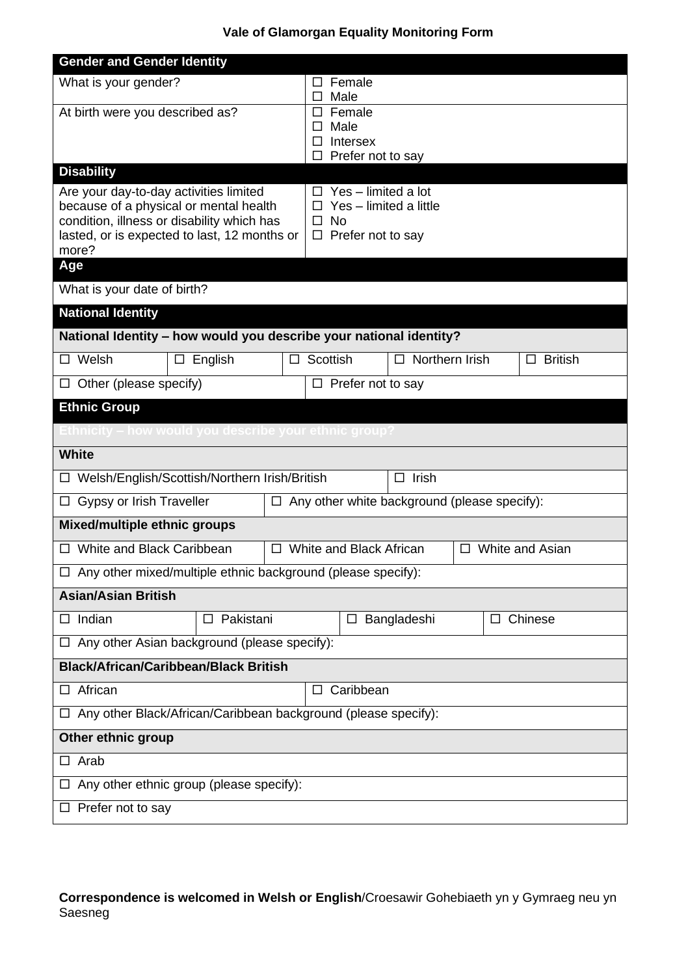## **Vale of Glamorgan Equality Monitoring Form**

| <b>Gender and Gender Identity</b>                                                  |                                                                            |  |  |  |  |  |  |
|------------------------------------------------------------------------------------|----------------------------------------------------------------------------|--|--|--|--|--|--|
| What is your gender?                                                               | Female<br>П.                                                               |  |  |  |  |  |  |
| At birth were you described as?                                                    | Male<br>$\Box$<br>Female<br>$\Box$                                         |  |  |  |  |  |  |
|                                                                                    | Male<br>□                                                                  |  |  |  |  |  |  |
|                                                                                    | Intersex<br>□<br>Prefer not to say<br>$\Box$                               |  |  |  |  |  |  |
| <b>Disability</b>                                                                  |                                                                            |  |  |  |  |  |  |
| Are your day-to-day activities limited<br>because of a physical or mental health   | $\Box$ Yes - limited a lot<br>Yes - limited a little<br>□                  |  |  |  |  |  |  |
| condition, illness or disability which has                                         | <b>No</b><br>$\Box$                                                        |  |  |  |  |  |  |
| lasted, or is expected to last, 12 months or<br>more?                              | $\Box$ Prefer not to say                                                   |  |  |  |  |  |  |
| Age                                                                                |                                                                            |  |  |  |  |  |  |
| What is your date of birth?                                                        |                                                                            |  |  |  |  |  |  |
| <b>National Identity</b>                                                           |                                                                            |  |  |  |  |  |  |
| National Identity - how would you describe your national identity?                 |                                                                            |  |  |  |  |  |  |
| Welsh<br>$\Box$ English                                                            | Scottish<br>Northern Irish<br><b>British</b><br>$\Box$<br>$\Box$<br>$\Box$ |  |  |  |  |  |  |
| $\Box$ Other (please specify)<br>$\square$ Prefer not to say                       |                                                                            |  |  |  |  |  |  |
| <b>Ethnic Group</b>                                                                |                                                                            |  |  |  |  |  |  |
| Ethnicity – how would you describ <u>e your ethnic group?</u>                      |                                                                            |  |  |  |  |  |  |
| <b>White</b>                                                                       |                                                                            |  |  |  |  |  |  |
| Irish<br>□ Welsh/English/Scottish/Northern Irish/British<br>$\Box$                 |                                                                            |  |  |  |  |  |  |
| Gypsy or Irish Traveller<br>Any other white background (please specify):<br>$\Box$ |                                                                            |  |  |  |  |  |  |
| Mixed/multiple ethnic groups                                                       |                                                                            |  |  |  |  |  |  |
| White and Black Caribbean<br>White and Black African<br>White and Asian<br>□       |                                                                            |  |  |  |  |  |  |
| $\Box$ Any other mixed/multiple ethnic background (please specify):                |                                                                            |  |  |  |  |  |  |
| <b>Asian/Asian British</b>                                                         |                                                                            |  |  |  |  |  |  |
| Indian<br>Pakistani<br>ப                                                           | Chinese<br>Bangladeshi<br>ப<br>ப                                           |  |  |  |  |  |  |
| $\Box$ Any other Asian background (please specify):                                |                                                                            |  |  |  |  |  |  |
| <b>Black/African/Caribbean/Black British</b>                                       |                                                                            |  |  |  |  |  |  |
| African<br>Caribbean<br>ப                                                          |                                                                            |  |  |  |  |  |  |
| □ Any other Black/African/Caribbean background (please specify):                   |                                                                            |  |  |  |  |  |  |
| Other ethnic group                                                                 |                                                                            |  |  |  |  |  |  |
| $\Box$ Arab                                                                        |                                                                            |  |  |  |  |  |  |
| Any other ethnic group (please specify):                                           |                                                                            |  |  |  |  |  |  |
| $\Box$ Prefer not to say                                                           |                                                                            |  |  |  |  |  |  |

**Correspondence is welcomed in Welsh or English**/Croesawir Gohebiaeth yn y Gymraeg neu yn Saesneg